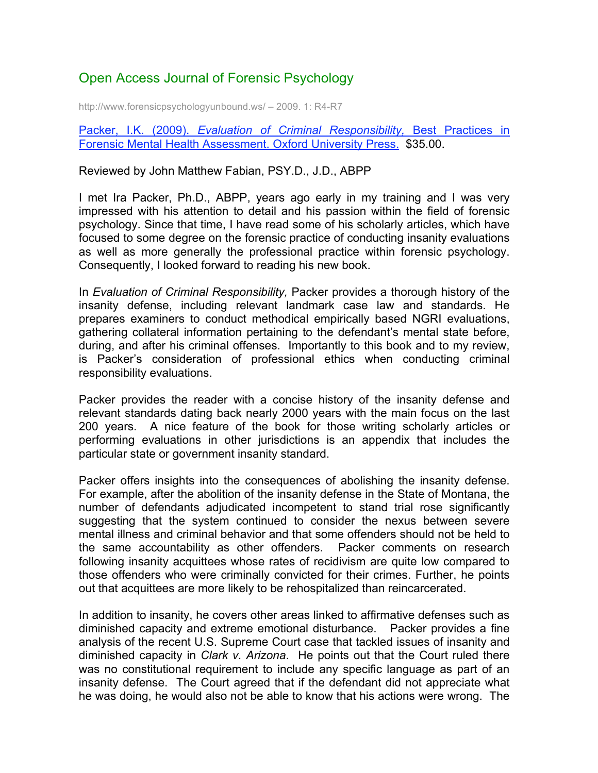## Open Access Journal of Forensic Psychology

http://www.forensicpsychologyunbound.ws/ – 2009. 1: R4-R7

Packer, I.K. (2009). *Evaluation of Criminal Responsibility,* Best Practices in Forensic Mental Health Assessment. Oxford University Press. \$35.00.

## Reviewed by John Matthew Fabian, PSY.D., J.D., ABPP

I met Ira Packer, Ph.D., ABPP, years ago early in my training and I was very impressed with his attention to detail and his passion within the field of forensic psychology. Since that time, I have read some of his scholarly articles, which have focused to some degree on the forensic practice of conducting insanity evaluations as well as more generally the professional practice within forensic psychology. Consequently, I looked forward to reading his new book.

In *Evaluation of Criminal Responsibility,* Packer provides a thorough history of the insanity defense, including relevant landmark case law and standards. He prepares examiners to conduct methodical empirically based NGRI evaluations, gathering collateral information pertaining to the defendant's mental state before, during, and after his criminal offenses. Importantly to this book and to my review, is Packer's consideration of professional ethics when conducting criminal responsibility evaluations.

Packer provides the reader with a concise history of the insanity defense and relevant standards dating back nearly 2000 years with the main focus on the last 200 years. A nice feature of the book for those writing scholarly articles or performing evaluations in other jurisdictions is an appendix that includes the particular state or government insanity standard.

Packer offers insights into the consequences of abolishing the insanity defense. For example, after the abolition of the insanity defense in the State of Montana, the number of defendants adjudicated incompetent to stand trial rose significantly suggesting that the system continued to consider the nexus between severe mental illness and criminal behavior and that some offenders should not be held to the same accountability as other offenders. Packer comments on research following insanity acquittees whose rates of recidivism are quite low compared to those offenders who were criminally convicted for their crimes. Further, he points out that acquittees are more likely to be rehospitalized than reincarcerated.

In addition to insanity, he covers other areas linked to affirmative defenses such as diminished capacity and extreme emotional disturbance. Packer provides a fine analysis of the recent U.S. Supreme Court case that tackled issues of insanity and diminished capacity in *Clark v. Arizona*. He points out that the Court ruled there was no constitutional requirement to include any specific language as part of an insanity defense. The Court agreed that if the defendant did not appreciate what he was doing, he would also not be able to know that his actions were wrong. The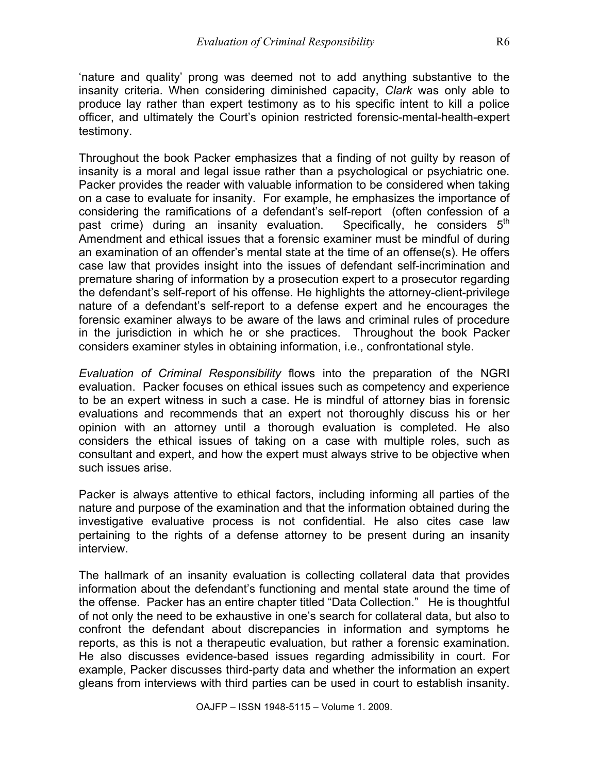'nature and quality' prong was deemed not to add anything substantive to the insanity criteria. When considering diminished capacity, *Clark* was only able to produce lay rather than expert testimony as to his specific intent to kill a police officer, and ultimately the Court's opinion restricted forensic-mental-health-expert testimony.

Throughout the book Packer emphasizes that a finding of not guilty by reason of insanity is a moral and legal issue rather than a psychological or psychiatric one. Packer provides the reader with valuable information to be considered when taking on a case to evaluate for insanity. For example, he emphasizes the importance of considering the ramifications of a defendant's self-report (often confession of a past crime) during an insanity evaluation. Specifically, he considers  $5<sup>th</sup>$ Amendment and ethical issues that a forensic examiner must be mindful of during an examination of an offender's mental state at the time of an offense(s). He offers case law that provides insight into the issues of defendant self-incrimination and premature sharing of information by a prosecution expert to a prosecutor regarding the defendant's self-report of his offense. He highlights the attorney-client-privilege nature of a defendant's self-report to a defense expert and he encourages the forensic examiner always to be aware of the laws and criminal rules of procedure in the jurisdiction in which he or she practices. Throughout the book Packer considers examiner styles in obtaining information, i.e., confrontational style.

*Evaluation of Criminal Responsibility* flows into the preparation of the NGRI evaluation. Packer focuses on ethical issues such as competency and experience to be an expert witness in such a case. He is mindful of attorney bias in forensic evaluations and recommends that an expert not thoroughly discuss his or her opinion with an attorney until a thorough evaluation is completed. He also considers the ethical issues of taking on a case with multiple roles, such as consultant and expert, and how the expert must always strive to be objective when such issues arise.

Packer is always attentive to ethical factors, including informing all parties of the nature and purpose of the examination and that the information obtained during the investigative evaluative process is not confidential. He also cites case law pertaining to the rights of a defense attorney to be present during an insanity interview.

The hallmark of an insanity evaluation is collecting collateral data that provides information about the defendant's functioning and mental state around the time of the offense. Packer has an entire chapter titled "Data Collection." He is thoughtful of not only the need to be exhaustive in one's search for collateral data, but also to confront the defendant about discrepancies in information and symptoms he reports, as this is not a therapeutic evaluation, but rather a forensic examination. He also discusses evidence-based issues regarding admissibility in court. For example, Packer discusses third-party data and whether the information an expert gleans from interviews with third parties can be used in court to establish insanity.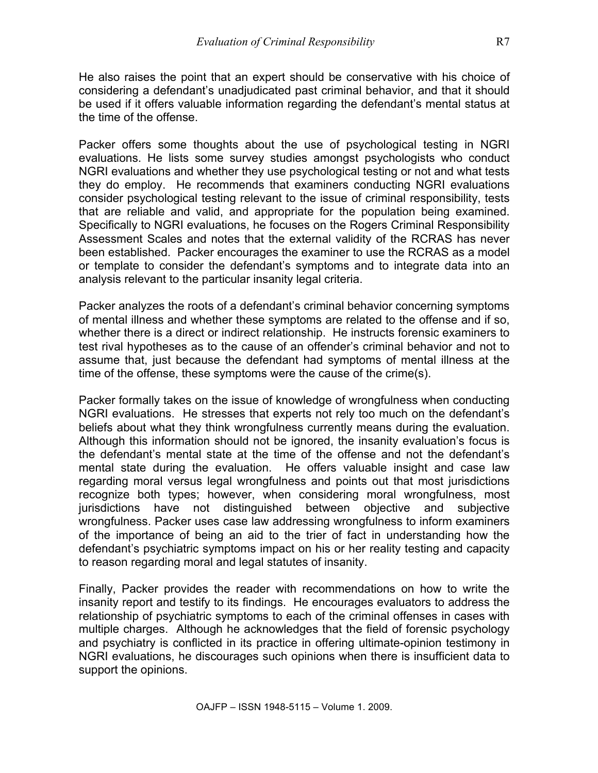He also raises the point that an expert should be conservative with his choice of considering a defendant's unadjudicated past criminal behavior, and that it should be used if it offers valuable information regarding the defendant's mental status at the time of the offense.

Packer offers some thoughts about the use of psychological testing in NGRI evaluations. He lists some survey studies amongst psychologists who conduct NGRI evaluations and whether they use psychological testing or not and what tests they do employ. He recommends that examiners conducting NGRI evaluations consider psychological testing relevant to the issue of criminal responsibility, tests that are reliable and valid, and appropriate for the population being examined. Specifically to NGRI evaluations, he focuses on the Rogers Criminal Responsibility Assessment Scales and notes that the external validity of the RCRAS has never been established. Packer encourages the examiner to use the RCRAS as a model or template to consider the defendant's symptoms and to integrate data into an analysis relevant to the particular insanity legal criteria.

Packer analyzes the roots of a defendant's criminal behavior concerning symptoms of mental illness and whether these symptoms are related to the offense and if so, whether there is a direct or indirect relationship. He instructs forensic examiners to test rival hypotheses as to the cause of an offender's criminal behavior and not to assume that, just because the defendant had symptoms of mental illness at the time of the offense, these symptoms were the cause of the crime(s).

Packer formally takes on the issue of knowledge of wrongfulness when conducting NGRI evaluations. He stresses that experts not rely too much on the defendant's beliefs about what they think wrongfulness currently means during the evaluation. Although this information should not be ignored, the insanity evaluation's focus is the defendant's mental state at the time of the offense and not the defendant's mental state during the evaluation. He offers valuable insight and case law regarding moral versus legal wrongfulness and points out that most jurisdictions recognize both types; however, when considering moral wrongfulness, most jurisdictions have not distinguished between objective and subjective wrongfulness. Packer uses case law addressing wrongfulness to inform examiners of the importance of being an aid to the trier of fact in understanding how the defendant's psychiatric symptoms impact on his or her reality testing and capacity to reason regarding moral and legal statutes of insanity.

Finally, Packer provides the reader with recommendations on how to write the insanity report and testify to its findings. He encourages evaluators to address the relationship of psychiatric symptoms to each of the criminal offenses in cases with multiple charges. Although he acknowledges that the field of forensic psychology and psychiatry is conflicted in its practice in offering ultimate-opinion testimony in NGRI evaluations, he discourages such opinions when there is insufficient data to support the opinions.